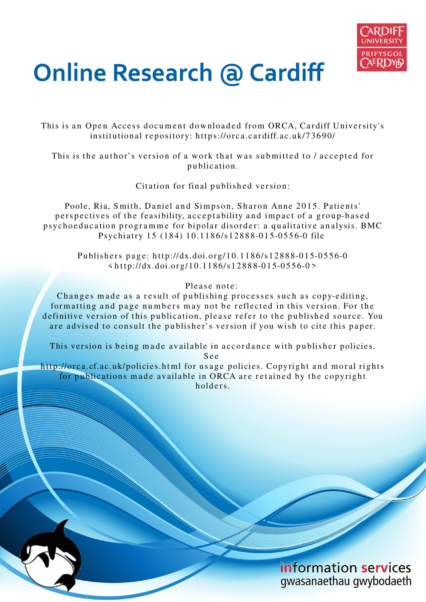

# **Online Research @ Cardiff**

This is an Open Access document downloaded from ORCA, Cardiff University's institutional repository: https://orca.cardiff.ac.uk/73690/

This is the author's version of a work that was submitted to / accepted for p u blication.

Citation for final published version:

Poole, Ria, Smith, Daniel and Simpson, Sharon Anne 2015. Patients' perspectives of the feasibility, acceptability and impact of a group-based psychoeducation programme for bipolar disorder: a qualitative analysis. BMC Psychiatry 15 (184) 10.1186/s12888-015-0556-0 file

Publishers page: http://dx.doi.org/10.1186/s12888-015-0556-0  $\langle \text{http://dx.doi.org/10.1186/s12888-015-0556-0} \rangle$ 

# Please note:

Changes made as a result of publishing processes such as copy-editing, formatting and page numbers may not be reflected in this version. For the definitive version of this publication, please refer to the published source. You are advised to consult the publisher's version if you wish to cite this paper.

This version is being made available in accordance with publisher policies. S e e

http://orca.cf.ac.uk/policies.html for usage policies. Copyright and moral rights for publications made available in ORCA are retained by the copyright holders



information services gwasanaethau gwybodaeth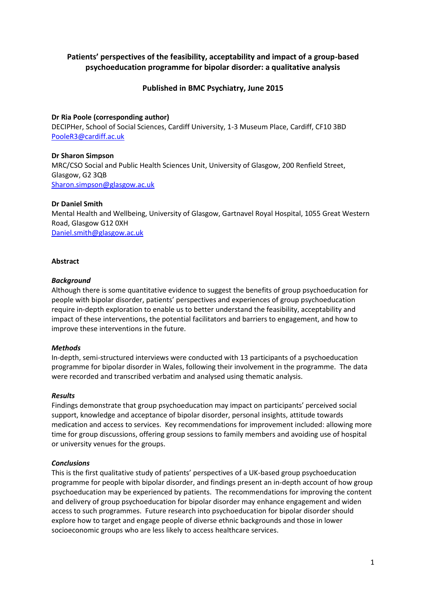# **Patients' perspectives of the feasibility, acceptability and impact of a group-based psychoeducation programme for bipolar disorder: a qualitative analysis**

# **Published in BMC Psychiatry, June 2015**

## **Dr Ria Poole (corresponding author)**

DECIPHer, School of Social Sciences, Cardiff University, 1-3 Museum Place, Cardiff, CF10 3BD [PooleR3@cardiff.ac.uk](mailto:PooleR3@cardiff.ac.uk)

## **Dr Sharon Simpson**

MRC/CSO Social and Public Health Sciences Unit, University of Glasgow, 200 Renfield Street, Glasgow, G2 3QB [Sharon.simpson@glasgow.ac.uk](mailto:Sharon.simpson@glasgow.ac.uk)

## **Dr Daniel Smith**

Mental Health and Wellbeing, University of Glasgow, Gartnavel Royal Hospital, 1055 Great Western Road, Glasgow G12 0XH [Daniel.smith@glasgow.ac.uk](mailto:Daniel.smith@glasgow.ac.uk)

## **Abstract**

#### *Background*

Although there is some quantitative evidence to suggest the benefits of group psychoeducation for people with bipolar disorder, patients' perspectives and experiences of group psychoeducation require in-depth exploration to enable us to better understand the feasibility, acceptability and impact of these interventions, the potential facilitators and barriers to engagement, and how to improve these interventions in the future.

## *Methods*

In-depth, semi-structured interviews were conducted with 13 participants of a psychoeducation programme for bipolar disorder in Wales, following their involvement in the programme. The data were recorded and transcribed verbatim and analysed using thematic analysis.

## *Results*

Findings demonstrate that group psychoeducation may impact on participants' perceived social support, knowledge and acceptance of bipolar disorder, personal insights, attitude towards medication and access to services. Key recommendations for improvement included: allowing more time for group discussions, offering group sessions to family members and avoiding use of hospital or university venues for the groups.

## *Conclusions*

This is the first qualitative study of patients' perspectives of a UK-based group psychoeducation programme for people with bipolar disorder, and findings present an in-depth account of how group psychoeducation may be experienced by patients. The recommendations for improving the content and delivery of group psychoeducation for bipolar disorder may enhance engagement and widen access to such programmes. Future research into psychoeducation for bipolar disorder should explore how to target and engage people of diverse ethnic backgrounds and those in lower socioeconomic groups who are less likely to access healthcare services.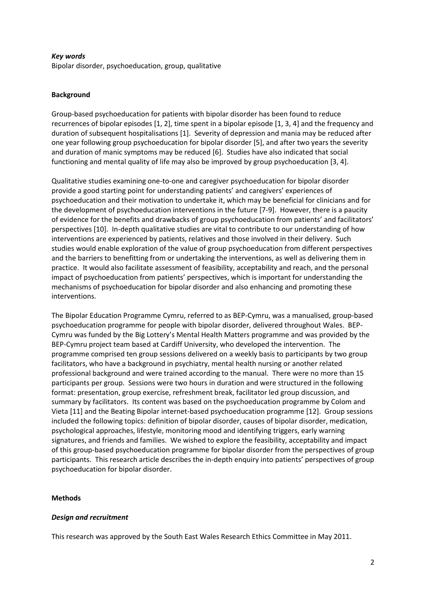## *Key words*

Bipolar disorder, psychoeducation, group, qualitative

## **Background**

Group-based psychoeducation for patients with bipolar disorder has been found to reduce recurrences of bipolar episodes [\[1,](#page-22-0) [2\]](#page-22-1), time spent in a bipolar episode [\[1,](#page-22-0) [3,](#page-22-2) [4\]](#page-23-0) and the frequency and duration of subsequent hospitalisations [\[1\]](#page-22-0). Severity of depression and mania may be reduced after one year following group psychoeducation for bipolar disorder [\[5\]](#page-23-1), and after two years the severity and duration of manic symptoms may be reduced [\[6\]](#page-23-2). Studies have also indicated that social functioning and mental quality of life may also be improved by group psychoeducation [\[3,](#page-22-2) [4\]](#page-23-0).

Qualitative studies examining one-to-one and caregiver psychoeducation for bipolar disorder provide a good starting point for understanding patients' and caregivers' experiences of psychoeducation and their motivation to undertake it, which may be beneficial for clinicians and for the development of psychoeducation interventions in the future [\[7-9\]](#page-23-3). However, there is a paucity of evidence for the benefits and drawbacks of group psychoeducation from patients' and facilitators' perspectives [\[10\]](#page-23-4). In-depth qualitative studies are vital to contribute to our understanding of how interventions are experienced by patients, relatives and those involved in their delivery. Such studies would enable exploration of the value of group psychoeducation from different perspectives and the barriers to benefitting from or undertaking the interventions, as well as delivering them in practice. It would also facilitate assessment of feasibility, acceptability and reach, and the personal impact of psychoeducation from patients' perspectives, which is important for understanding the mechanisms of psychoeducation for bipolar disorder and also enhancing and promoting these interventions.

The Bipolar Education Programme Cymru, referred to as BEP-Cymru, was a manualised, group-based psychoeducation programme for people with bipolar disorder, delivered throughout Wales. BEP-Cymru was funded by the Big Lottery's Mental Health Matters programme and was provided by the BEP-Cymru project team based at Cardiff University, who developed the intervention. The programme comprised ten group sessions delivered on a weekly basis to participants by two group facilitators, who have a background in psychiatry, mental health nursing or another related professional background and were trained according to the manual. There were no more than 15 participants per group. Sessions were two hours in duration and were structured in the following format: presentation, group exercise, refreshment break, facilitator led group discussion, and summary by facilitators. Its content was based on the psychoeducation programme by Colom and Vieta [\[11\]](#page-23-5) and the Beating Bipolar internet-based psychoeducation programme [\[12\]](#page-23-6). Group sessions included the following topics: definition of bipolar disorder, causes of bipolar disorder, medication, psychological approaches, lifestyle, monitoring mood and identifying triggers, early warning signatures, and friends and families. We wished to explore the feasibility, acceptability and impact of this group-based psychoeducation programme for bipolar disorder from the perspectives of group participants. This research article describes the in-depth enquiry into patients' perspectives of group psychoeducation for bipolar disorder.

## **Methods**

# *Design and recruitment*

This research was approved by the South East Wales Research Ethics Committee in May 2011.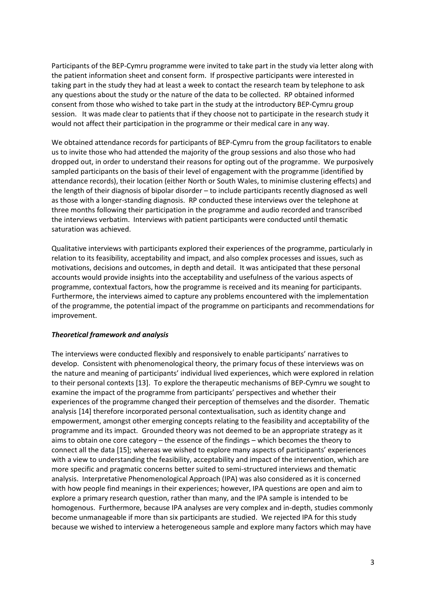Participants of the BEP-Cymru programme were invited to take part in the study via letter along with the patient information sheet and consent form. If prospective participants were interested in taking part in the study they had at least a week to contact the research team by telephone to ask any questions about the study or the nature of the data to be collected. RP obtained informed consent from those who wished to take part in the study at the introductory BEP-Cymru group session. It was made clear to patients that if they choose not to participate in the research study it would not affect their participation in the programme or their medical care in any way.

We obtained attendance records for participants of BEP-Cymru from the group facilitators to enable us to invite those who had attended the majority of the group sessions and also those who had dropped out, in order to understand their reasons for opting out of the programme. We purposively sampled participants on the basis of their level of engagement with the programme (identified by attendance records), their location (either North or South Wales, to minimise clustering effects) and the length of their diagnosis of bipolar disorder – to include participants recently diagnosed as well as those with a longer-standing diagnosis. RP conducted these interviews over the telephone at three months following their participation in the programme and audio recorded and transcribed the interviews verbatim. Interviews with patient participants were conducted until thematic saturation was achieved.

Qualitative interviews with participants explored their experiences of the programme, particularly in relation to its feasibility, acceptability and impact, and also complex processes and issues, such as motivations, decisions and outcomes, in depth and detail. It was anticipated that these personal accounts would provide insights into the acceptability and usefulness of the various aspects of programme, contextual factors, how the programme is received and its meaning for participants. Furthermore, the interviews aimed to capture any problems encountered with the implementation of the programme, the potential impact of the programme on participants and recommendations for improvement.

## *Theoretical framework and analysis*

The interviews were conducted flexibly and responsively to enable participants' narratives to develop. Consistent with phenomenological theory, the primary focus of these interviews was on the nature and meaning of participants' individual lived experiences, which were explored in relation to their personal contexts [\[13\]](#page-23-7). To explore the therapeutic mechanisms of BEP-Cymru we sought to examine the impact of the programme from participants' perspectives and whether their experiences of the programme changed their perception of themselves and the disorder. Thematic analysis [\[14\]](#page-23-8) therefore incorporated personal contextualisation, such as identity change and empowerment, amongst other emerging concepts relating to the feasibility and acceptability of the programme and its impact. Grounded theory was not deemed to be an appropriate strategy as it aims to obtain one core category – the essence of the findings – which becomes the theory to connect all the data [\[15\]](#page-23-9); whereas we wished to explore many aspects of participants' experiences with a view to understanding the feasibility, acceptability and impact of the intervention, which are more specific and pragmatic concerns better suited to semi-structured interviews and thematic analysis. Interpretative Phenomenological Approach (IPA) was also considered as it is concerned with how people find meanings in their experiences; however, IPA questions are open and aim to explore a primary research question, rather than many, and the IPA sample is intended to be homogenous. Furthermore, because IPA analyses are very complex and in-depth, studies commonly become unmanageable if more than six participants are studied. We rejected IPA for this study because we wished to interview a heterogeneous sample and explore many factors which may have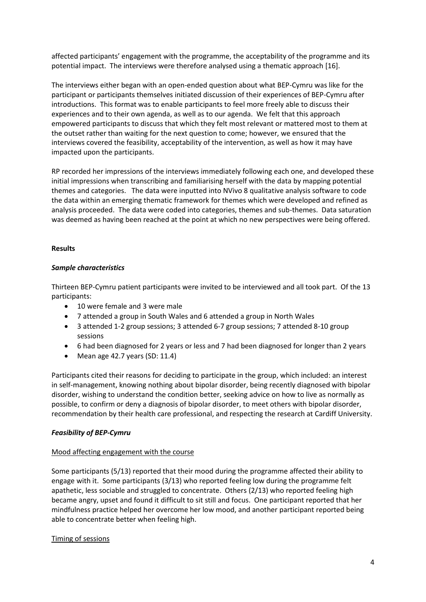affected participants' engagement with the programme, the acceptability of the programme and its potential impact. The interviews were therefore analysed using a thematic approach [\[16\]](#page-23-10).

The interviews either began with an open-ended question about what BEP-Cymru was like for the participant or participants themselves initiated discussion of their experiences of BEP-Cymru after introductions. This format was to enable participants to feel more freely able to discuss their experiences and to their own agenda, as well as to our agenda. We felt that this approach empowered participants to discuss that which they felt most relevant or mattered most to them at the outset rather than waiting for the next question to come; however, we ensured that the interviews covered the feasibility, acceptability of the intervention, as well as how it may have impacted upon the participants.

RP recorded her impressions of the interviews immediately following each one, and developed these initial impressions when transcribing and familiarising herself with the data by mapping potential themes and categories. The data were inputted into NVivo 8 qualitative analysis software to code the data within an emerging thematic framework for themes which were developed and refined as analysis proceeded. The data were coded into categories, themes and sub-themes. Data saturation was deemed as having been reached at the point at which no new perspectives were being offered.

# **Results**

## *Sample characteristics*

Thirteen BEP-Cymru patient participants were invited to be interviewed and all took part. Of the 13 participants:

- 10 were female and 3 were male
- 7 attended a group in South Wales and 6 attended a group in North Wales
- 3 attended 1-2 group sessions; 3 attended 6-7 group sessions; 7 attended 8-10 group sessions
- 6 had been diagnosed for 2 years or less and 7 had been diagnosed for longer than 2 years
- $\bullet$  Mean age 42.7 years (SD: 11.4)

Participants cited their reasons for deciding to participate in the group, which included: an interest in self-management, knowing nothing about bipolar disorder, being recently diagnosed with bipolar disorder, wishing to understand the condition better, seeking advice on how to live as normally as possible, to confirm or deny a diagnosis of bipolar disorder, to meet others with bipolar disorder, recommendation by their health care professional, and respecting the research at Cardiff University.

## *Feasibility of BEP-Cymru*

## Mood affecting engagement with the course

Some participants (5/13) reported that their mood during the programme affected their ability to engage with it. Some participants (3/13) who reported feeling low during the programme felt apathetic, less sociable and struggled to concentrate. Others (2/13) who reported feeling high became angry, upset and found it difficult to sit still and focus. One participant reported that her mindfulness practice helped her overcome her low mood, and another participant reported being able to concentrate better when feeling high.

## Timing of sessions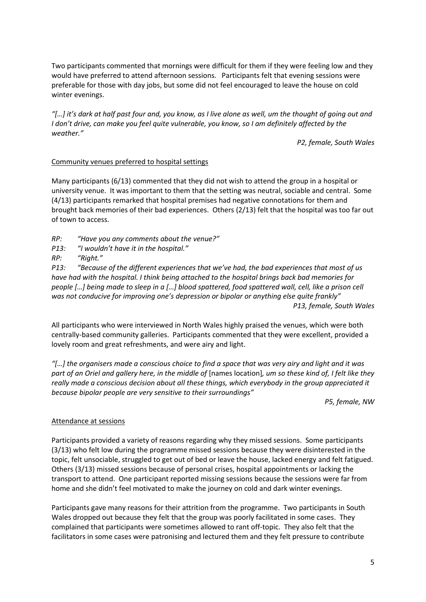Two participants commented that mornings were difficult for them if they were feeling low and they would have preferred to attend afternoon sessions. Participants felt that evening sessions were preferable for those with day jobs, but some did not feel encouraged to leave the house on cold winter evenings.

*"[…] it's dark at half past four and, you know, as I live alone as well, um the thought of going out and I don't drive, can make you feel quite vulnerable, you know, so I am definitely affected by the weather."*

*P2, female, South Wales* 

# Community venues preferred to hospital settings

Many participants (6/13) commented that they did not wish to attend the group in a hospital or university venue. It was important to them that the setting was neutral, sociable and central. Some (4/13) participants remarked that hospital premises had negative connotations for them and brought back memories of their bad experiences. Others (2/13) felt that the hospital was too far out of town to access.

*RP: "Have you any comments about the venue?"*

*P13: "I wouldn't have it in the hospital."*

*RP: "Right."*

*P13: "Because of the different experiences that we've had, the bad experiences that most of us have had with the hospital. I think being attached to the hospital brings back bad memories for people […] being made to sleep in a […] blood spattered, food spattered wall, cell, like a prison cell was not conducive for improving one's depression or bipolar or anything else quite frankly" P13, female, South Wales* 

All participants who were interviewed in North Wales highly praised the venues, which were both centrally-based community galleries. Participants commented that they were excellent, provided a lovely room and great refreshments, and were airy and light.

*"[…] the organisers made a conscious choice to find a space that was very airy and light and it was part of an Oriel and gallery here, in the middle of* [names location]*, um so these kind of, I felt like they really made a conscious decision about all these things, which everybody in the group appreciated it because bipolar people are very sensitive to their surroundings"*

*P5, female, NW* 

# Attendance at sessions

Participants provided a variety of reasons regarding why they missed sessions. Some participants (3/13) who felt low during the programme missed sessions because they were disinterested in the topic, felt unsociable, struggled to get out of bed or leave the house, lacked energy and felt fatigued. Others (3/13) missed sessions because of personal crises, hospital appointments or lacking the transport to attend. One participant reported missing sessions because the sessions were far from home and she didn't feel motivated to make the journey on cold and dark winter evenings.

Participants gave many reasons for their attrition from the programme. Two participants in South Wales dropped out because they felt that the group was poorly facilitated in some cases. They complained that participants were sometimes allowed to rant off-topic. They also felt that the facilitators in some cases were patronising and lectured them and they felt pressure to contribute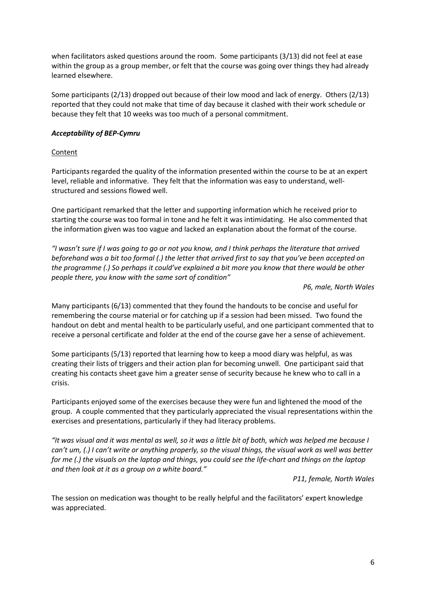when facilitators asked questions around the room. Some participants (3/13) did not feel at ease within the group as a group member, or felt that the course was going over things they had already learned elsewhere.

Some participants (2/13) dropped out because of their low mood and lack of energy. Others (2/13) reported that they could not make that time of day because it clashed with their work schedule or because they felt that 10 weeks was too much of a personal commitment.

## *Acceptability of BEP-Cymru*

## Content

Participants regarded the quality of the information presented within the course to be at an expert level, reliable and informative. They felt that the information was easy to understand, wellstructured and sessions flowed well.

One participant remarked that the letter and supporting information which he received prior to starting the course was too formal in tone and he felt it was intimidating. He also commented that the information given was too vague and lacked an explanation about the format of the course.

*"I wasn't sure if I was going to go or not you know, and I think perhaps the literature that arrived beforehand was a bit too formal (.) the letter that arrived first to say that you've been accepted on the programme (.) So perhaps it could've explained a bit more you know that there would be other people there, you know with the same sort of condition"*

*P6, male, North Wales* 

Many participants (6/13) commented that they found the handouts to be concise and useful for remembering the course material or for catching up if a session had been missed. Two found the handout on debt and mental health to be particularly useful, and one participant commented that to receive a personal certificate and folder at the end of the course gave her a sense of achievement.

Some participants (5/13) reported that learning how to keep a mood diary was helpful, as was creating their lists of triggers and their action plan for becoming unwell. One participant said that creating his contacts sheet gave him a greater sense of security because he knew who to call in a crisis.

Participants enjoyed some of the exercises because they were fun and lightened the mood of the group. A couple commented that they particularly appreciated the visual representations within the exercises and presentations, particularly if they had literacy problems.

*"It was visual and it was mental as well, so it was a little bit of both, which was helped me because I can't um, (.) I can't write or anything properly, so the visual things, the visual work as well was better for me (.) the visuals on the laptop and things, you could see the life-chart and things on the laptop and then look at it as a group on a white board."*

*P11, female, North Wales* 

The session on medication was thought to be really helpful and the facilitators' expert knowledge was appreciated.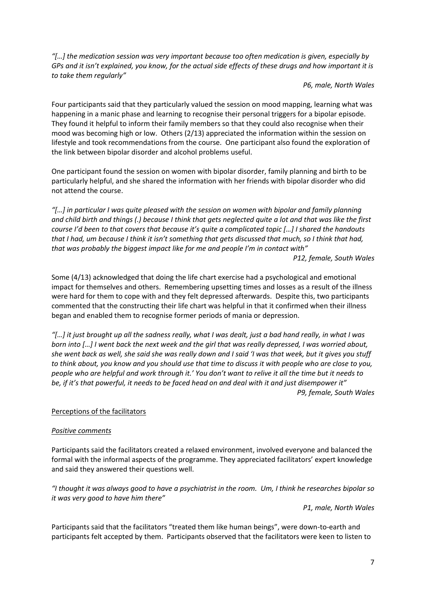*"[…] the medication session was very important because too often medication is given, especially by GPs and it isn't explained, you know, for the actual side effects of these drugs and how important it is to take them regularly"*

*P6, male, North Wales* 

Four participants said that they particularly valued the session on mood mapping, learning what was happening in a manic phase and learning to recognise their personal triggers for a bipolar episode. They found it helpful to inform their family members so that they could also recognise when their mood was becoming high or low. Others (2/13) appreciated the information within the session on lifestyle and took recommendations from the course. One participant also found the exploration of the link between bipolar disorder and alcohol problems useful.

One participant found the session on women with bipolar disorder, family planning and birth to be particularly helpful, and she shared the information with her friends with bipolar disorder who did not attend the course.

*"[…] in particular I was quite pleased with the session on women with bipolar and family planning and child birth and things (.) because I think that gets neglected quite a lot and that was like the first course I'd been to that covers that because it's quite a complicated topic […] I shared the handouts that I had, um because I think it isn't something that gets discussed that much, so I think that had, that was probably the biggest impact like for me and people I'm in contact with"*

*P12, female, South Wales* 

Some (4/13) acknowledged that doing the life chart exercise had a psychological and emotional impact for themselves and others. Remembering upsetting times and losses as a result of the illness were hard for them to cope with and they felt depressed afterwards. Despite this, two participants commented that the constructing their life chart was helpful in that it confirmed when their illness began and enabled them to recognise former periods of mania or depression.

*"[…] it just brought up all the sadness really, what I was dealt, just a bad hand really, in what I was born into […] I went back the next week and the girl that was really depressed, I was worried about, she went back as well, she said she was really down and I said 'I was that week, but it gives you stuff to think about, you know and you should use that time to discuss it with people who are close to you, people who are helpful and work through it.' You don't want to relive it all the time but it needs to be, if it's that powerful, it needs to be faced head on and deal with it and just disempower it" P9, female, South Wales* 

# Perceptions of the facilitators

## *Positive comments*

Participants said the facilitators created a relaxed environment, involved everyone and balanced the formal with the informal aspects of the programme. They appreciated facilitators' expert knowledge and said they answered their questions well.

*"I thought it was always good to have a psychiatrist in the room. Um, I think he researches bipolar so it was very good to have him there"*

*P1, male, North Wales* 

Participants said that the facilitators "treated them like human beings", were down-to-earth and participants felt accepted by them. Participants observed that the facilitators were keen to listen to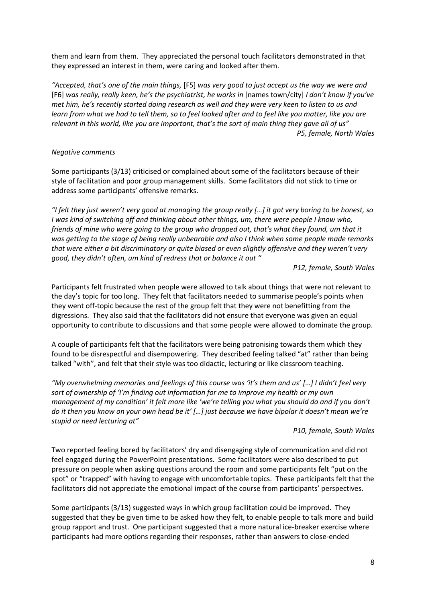them and learn from them. They appreciated the personal touch facilitators demonstrated in that they expressed an interest in them, were caring and looked after them.

*"Accepted, that's one of the main things,* [F5] *was very good to just accept us the way we were and*  [F6] *was really, really keen, he's the psychiatrist, he works in* [names town/city] *I don't know if you've met him, he's recently started doing research as well and they were very keen to listen to us and learn from what we had to tell them, so to feel looked after and to feel like you matter, like you are relevant in this world, like you are important, that's the sort of main thing they gave all of us" P5, female, North Wales* 

## *Negative comments*

Some participants (3/13) criticised or complained about some of the facilitators because of their style of facilitation and poor group management skills. Some facilitators did not stick to time or address some participants' offensive remarks.

*"I felt they just weren't very good at managing the group really […] it got very boring to be honest, so I was kind of switching off and thinking about other things, um, there were people I know who, friends of mine who were going to the group who dropped out, that's what they found, um that it was getting to the stage of being really unbearable and also I think when some people made remarks that were either a bit discriminatory or quite biased or even slightly offensive and they weren't very good, they didn't often, um kind of redress that or balance it out "*

*P12, female, South Wales* 

Participants felt frustrated when people were allowed to talk about things that were not relevant to the day's topic for too long. They felt that facilitators needed to summarise people's points when they went off-topic because the rest of the group felt that they were not benefitting from the digressions. They also said that the facilitators did not ensure that everyone was given an equal opportunity to contribute to discussions and that some people were allowed to dominate the group.

A couple of participants felt that the facilitators were being patronising towards them which they found to be disrespectful and disempowering. They described feeling talked "at" rather than being talked "with", and felt that their style was too didactic, lecturing or like classroom teaching.

*"My overwhelming memories and feelings of this course was 'it's them and us' […] I didn't feel very sort of ownership of 'I'm finding out information for me to improve my health or my own management of my condition' it felt more like 'we're telling you what you should do and if you don't do it then you know on your own head be it' […] just because we have bipolar it doesn't mean we're stupid or need lecturing at"*

## *P10, female, South Wales*

Two reported feeling bored by facilitators' dry and disengaging style of communication and did not feel engaged during the PowerPoint presentations. Some facilitators were also described to put pressure on people when asking questions around the room and some participants felt "put on the spot" or "trapped" with having to engage with uncomfortable topics. These participants felt that the facilitators did not appreciate the emotional impact of the course from participants' perspectives.

Some participants (3/13) suggested ways in which group facilitation could be improved. They suggested that they be given time to be asked how they felt, to enable people to talk more and build group rapport and trust. One participant suggested that a more natural ice-breaker exercise where participants had more options regarding their responses, rather than answers to close-ended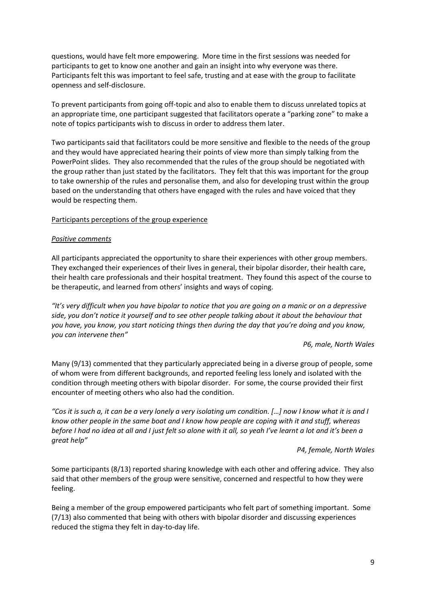questions, would have felt more empowering. More time in the first sessions was needed for participants to get to know one another and gain an insight into why everyone was there. Participants felt this was important to feel safe, trusting and at ease with the group to facilitate openness and self-disclosure.

To prevent participants from going off-topic and also to enable them to discuss unrelated topics at an appropriate time, one participant suggested that facilitators operate a "parking zone" to make a note of topics participants wish to discuss in order to address them later.

Two participants said that facilitators could be more sensitive and flexible to the needs of the group and they would have appreciated hearing their points of view more than simply talking from the PowerPoint slides. They also recommended that the rules of the group should be negotiated with the group rather than just stated by the facilitators. They felt that this was important for the group to take ownership of the rules and personalise them, and also for developing trust within the group based on the understanding that others have engaged with the rules and have voiced that they would be respecting them.

## Participants perceptions of the group experience

## *Positive comments*

All participants appreciated the opportunity to share their experiences with other group members. They exchanged their experiences of their lives in general, their bipolar disorder, their health care, their health care professionals and their hospital treatment. They found this aspect of the course to be therapeutic, and learned from others' insights and ways of coping.

*"It's very difficult when you have bipolar to notice that you are going on a manic or on a depressive side, you don't notice it yourself and to see other people talking about it about the behaviour that you have, you know, you start noticing things then during the day that you're doing and you know, you can intervene then"*

## *P6, male, North Wales*

Many (9/13) commented that they particularly appreciated being in a diverse group of people, some of whom were from different backgrounds, and reported feeling less lonely and isolated with the condition through meeting others with bipolar disorder. For some, the course provided their first encounter of meeting others who also had the condition.

"Cos it is such a, it can be a very lonely a very isolating um condition. [...] now I know what it is and I *know other people in the same boat and I know how people are coping with it and stuff, whereas before I had no idea at all and I just felt so alone with it all, so yeah I've learnt a lot and it's been a great help"*

*P4, female, North Wales* 

Some participants (8/13) reported sharing knowledge with each other and offering advice. They also said that other members of the group were sensitive, concerned and respectful to how they were feeling.

Being a member of the group empowered participants who felt part of something important. Some (7/13) also commented that being with others with bipolar disorder and discussing experiences reduced the stigma they felt in day-to-day life.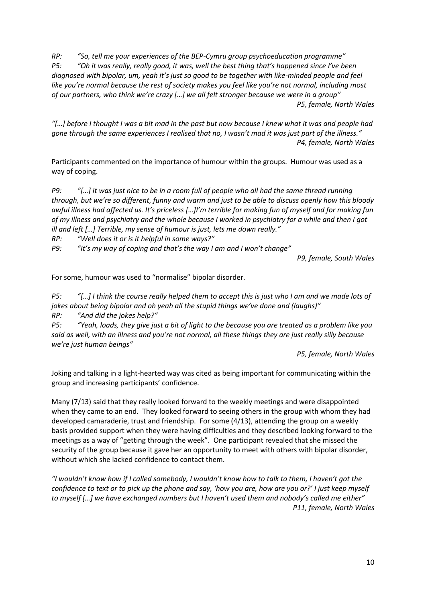*RP: "So, tell me your experiences of the BEP-Cymru group psychoeducation programme" P5: "Oh it was really, really good, it was, well the best thing that's happened since I've been diagnosed with bipolar, um, yeah it's just so good to be together with like-minded people and feel like you're normal because the rest of society makes you feel like you're not normal, including most of our partners, who think we're crazy […] we all felt stronger because we were in a group" P5, female, North Wales* 

*"[…] before I thought I was a bit mad in the past but now because I knew what it was and people had gone through the same experiences I realised that no, I wasn't mad it was just part of the illness." P4, female, North Wales* 

Participants commented on the importance of humour within the groups. Humour was used as a way of coping.

*P9: "[…] it was just nice to be in a room full of people who all had the same thread running through, but we're so different, funny and warm and just to be able to discuss openly how this bloody awful illness had affected us. It's priceless […]I'm terrible for making fun of myself and for making fun of my illness and psychiatry and the whole because I worked in psychiatry for a while and then I got ill and left […] Terrible, my sense of humour is just, lets me down really."*

*RP: "Well does it or is it helpful in some ways?"*

*P9: "It's my way of coping and that's the way I am and I won't change"*

*P9, female, South Wales* 

For some, humour was used to "normalise" bipolar disorder.

*P5: "[…] I think the course really helped them to accept this is just who I am and we made lots of jokes about being bipolar and oh yeah all the stupid things we've done and (laughs)"*

*RP: "And did the jokes help?"*

*P5: "Yeah, loads, they give just a bit of light to the because you are treated as a problem like you said as well, with an illness and you're not normal, all these things they are just really silly because we're just human beings"*

*P5, female, North Wales* 

Joking and talking in a light-hearted way was cited as being important for communicating within the group and increasing participants' confidence.

Many (7/13) said that they really looked forward to the weekly meetings and were disappointed when they came to an end. They looked forward to seeing others in the group with whom they had developed camaraderie, trust and friendship. For some (4/13), attending the group on a weekly basis provided support when they were having difficulties and they described looking forward to the meetings as a way of "getting through the week". One participant revealed that she missed the security of the group because it gave her an opportunity to meet with others with bipolar disorder, without which she lacked confidence to contact them.

*"I wouldn't know how if I called somebody, I wouldn't know how to talk to them, I haven't got the confidence to text or to pick up the phone and say, 'how you are, how are you or?' I just keep myself to myself […] we have exchanged numbers but I haven't used them and nobody's called me either" P11, female, North Wales*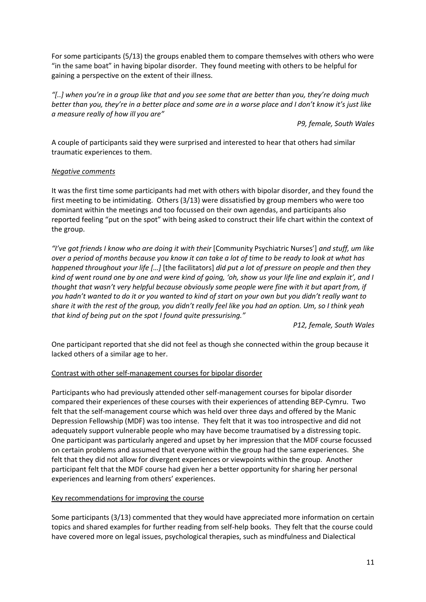For some participants (5/13) the groups enabled them to compare themselves with others who were "in the same boat" in having bipolar disorder. They found meeting with others to be helpful for gaining a perspective on the extent of their illness.

*"[..] when you're in a group like that and you see some that are better than you, they're doing much better than you, they're in a better place and some are in a worse place and I don't know it's just like a measure really of how ill you are"*

*P9, female, South Wales* 

A couple of participants said they were surprised and interested to hear that others had similar traumatic experiences to them.

## *Negative comments*

It was the first time some participants had met with others with bipolar disorder, and they found the first meeting to be intimidating. Others (3/13) were dissatisfied by group members who were too dominant within the meetings and too focussed on their own agendas, and participants also reported feeling "put on the spot" with being asked to construct their life chart within the context of the group.

*"I've got friends I know who are doing it with their* [Community Psychiatric Nurses'] *and stuff, um like over a period of months because you know it can take a lot of time to be ready to look at what has happened throughout your life […]* [the facilitators] *did put a lot of pressure on people and then they kind of went round one by one and were kind of going, 'oh, show us your life line and explain it', and I thought that wasn't very helpful because obviously some people were fine with it but apart from, if you hadn't wanted to do it or you wanted to kind of start on your own but you didn't really want to share it with the rest of the group, you didn't really feel like you had an option. Um, so I think yeah that kind of being put on the spot I found quite pressurising."*

*P12, female, South Wales* 

One participant reported that she did not feel as though she connected within the group because it lacked others of a similar age to her.

# Contrast with other self-management courses for bipolar disorder

Participants who had previously attended other self-management courses for bipolar disorder compared their experiences of these courses with their experiences of attending BEP-Cymru. Two felt that the self-management course which was held over three days and offered by the Manic Depression Fellowship (MDF) was too intense. They felt that it was too introspective and did not adequately support vulnerable people who may have become traumatised by a distressing topic. One participant was particularly angered and upset by her impression that the MDF course focussed on certain problems and assumed that everyone within the group had the same experiences. She felt that they did not allow for divergent experiences or viewpoints within the group. Another participant felt that the MDF course had given her a better opportunity for sharing her personal experiences and learning from others' experiences.

# Key recommendations for improving the course

Some participants (3/13) commented that they would have appreciated more information on certain topics and shared examples for further reading from self-help books. They felt that the course could have covered more on legal issues, psychological therapies, such as mindfulness and Dialectical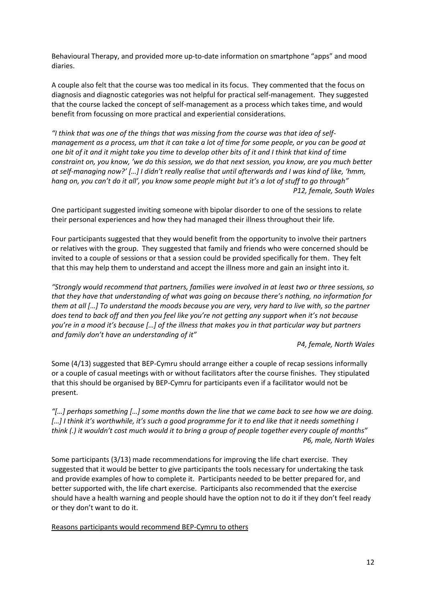Behavioural Therapy, and provided more up-to-date information on smartphone "apps" and mood diaries.

A couple also felt that the course was too medical in its focus. They commented that the focus on diagnosis and diagnostic categories was not helpful for practical self-management. They suggested that the course lacked the concept of self-management as a process which takes time, and would benefit from focussing on more practical and experiential considerations.

*"I think that was one of the things that was missing from the course was that idea of selfmanagement as a process, um that it can take a lot of time for some people, or you can be good at one bit of it and it might take you time to develop other bits of it and I think that kind of time constraint on, you know, 'we do this session, we do that next session, you know, are you much better at self-managing now?' […] I didn't really realise that until afterwards and I was kind of like, 'hmm, hang on, you can't do it all', you know some people might but it's a lot of stuff to go through" P12, female, South Wales* 

One participant suggested inviting someone with bipolar disorder to one of the sessions to relate their personal experiences and how they had managed their illness throughout their life.

Four participants suggested that they would benefit from the opportunity to involve their partners or relatives with the group. They suggested that family and friends who were concerned should be invited to a couple of sessions or that a session could be provided specifically for them. They felt that this may help them to understand and accept the illness more and gain an insight into it.

*"Strongly would recommend that partners, families were involved in at least two or three sessions, so that they have that understanding of what was going on because there's nothing, no information for them at all […] To understand the moods because you are very, very hard to live with, so the partner does tend to back off and then you feel like you're not getting any support when it's not because you're in a mood it's because […] of the illness that makes you in that particular way but partners and family don't have an understanding of it"*

*P4, female, North Wales* 

Some (4/13) suggested that BEP-Cymru should arrange either a couple of recap sessions informally or a couple of casual meetings with or without facilitators after the course finishes. They stipulated that this should be organised by BEP-Cymru for participants even if a facilitator would not be present.

*"[…] perhaps something […] some months down the line that we came back to see how we are doing. […] I think it's worthwhile, it's such a good programme for it to end like that it needs something I think (.) it wouldn't cost much would it to bring a group of people together every couple of months" P6, male, North Wales* 

Some participants (3/13) made recommendations for improving the life chart exercise. They suggested that it would be better to give participants the tools necessary for undertaking the task and provide examples of how to complete it. Participants needed to be better prepared for, and better supported with, the life chart exercise. Participants also recommended that the exercise should have a health warning and people should have the option not to do it if they don't feel ready or they don't want to do it.

Reasons participants would recommend BEP-Cymru to others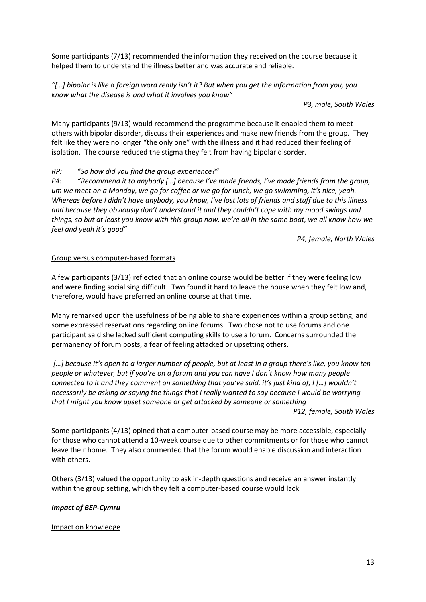Some participants (7/13) recommended the information they received on the course because it helped them to understand the illness better and was accurate and reliable.

*"[…] bipolar is like a foreign word really isn't it? But when you get the information from you, you know what the disease is and what it involves you know"*

*P3, male, South Wales* 

Many participants (9/13) would recommend the programme because it enabled them to meet others with bipolar disorder, discuss their experiences and make new friends from the group. They felt like they were no longer "the only one" with the illness and it had reduced their feeling of isolation. The course reduced the stigma they felt from having bipolar disorder.

## *RP: "So how did you find the group experience?"*

*P4: "Recommend it to anybody […] because I've made friends, I've made friends from the group, um we meet on a Monday, we go for coffee or we go for lunch, we go swimming, it's nice, yeah. Whereas before I didn't have anybody, you know, I've lost lots of friends and stuff due to this illness and because they obviously don't understand it and they couldn't cope with my mood swings and things, so but at least you know with this group now, we're all in the same boat, we all know how we feel and yeah it's good"*

*P4, female, North Wales* 

## Group versus computer-based formats

A few participants (3/13) reflected that an online course would be better if they were feeling low and were finding socialising difficult. Two found it hard to leave the house when they felt low and, therefore, would have preferred an online course at that time.

Many remarked upon the usefulness of being able to share experiences within a group setting, and some expressed reservations regarding online forums. Two chose not to use forums and one participant said she lacked sufficient computing skills to use a forum. Concerns surrounded the permanency of forum posts, a fear of feeling attacked or upsetting others.

*[…] because it's open to a larger number of people, but at least in a group there's like, you know ten people or whatever, but if you're on a forum and you can have I don't know how many people connected to it and they comment on something that you've said, it's just kind of, I […] wouldn't necessarily be asking or saying the things that I really wanted to say because I would be worrying that I might you know upset someone or get attacked by someone or something* 

*P12, female, South Wales* 

Some participants (4/13) opined that a computer-based course may be more accessible, especially for those who cannot attend a 10-week course due to other commitments or for those who cannot leave their home. They also commented that the forum would enable discussion and interaction with others.

Others (3/13) valued the opportunity to ask in-depth questions and receive an answer instantly within the group setting, which they felt a computer-based course would lack.

## *Impact of BEP-Cymru*

## Impact on knowledge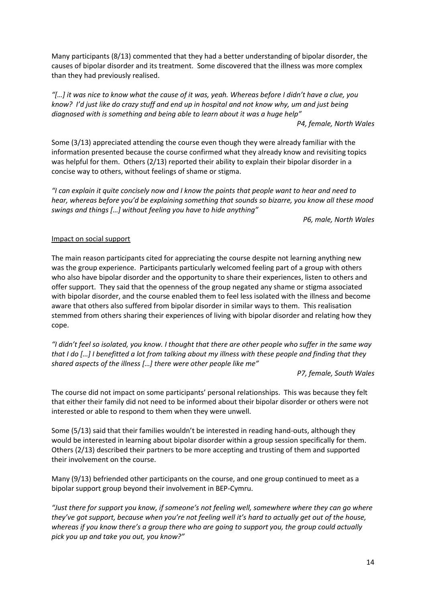Many participants (8/13) commented that they had a better understanding of bipolar disorder, the causes of bipolar disorder and its treatment. Some discovered that the illness was more complex than they had previously realised.

*"[…] it was nice to know what the cause of it was, yeah. Whereas before I didn't have a clue, you know? I'd just like do crazy stuff and end up in hospital and not know why, um and just being diagnosed with is something and being able to learn about it was a huge help"*

*P4, female, North Wales* 

Some (3/13) appreciated attending the course even though they were already familiar with the information presented because the course confirmed what they already know and revisiting topics was helpful for them. Others (2/13) reported their ability to explain their bipolar disorder in a concise way to others, without feelings of shame or stigma.

*"I can explain it quite concisely now and I know the points that people want to hear and need to hear, whereas before you'd be explaining something that sounds so bizarre, you know all these mood swings and things […] without feeling you have to hide anything"*

*P6, male, North Wales* 

# Impact on social support

The main reason participants cited for appreciating the course despite not learning anything new was the group experience. Participants particularly welcomed feeling part of a group with others who also have bipolar disorder and the opportunity to share their experiences, listen to others and offer support. They said that the openness of the group negated any shame or stigma associated with bipolar disorder, and the course enabled them to feel less isolated with the illness and become aware that others also suffered from bipolar disorder in similar ways to them. This realisation stemmed from others sharing their experiences of living with bipolar disorder and relating how they cope.

*"I didn't feel so isolated, you know. I thought that there are other people who suffer in the same way that I do […] I benefitted a lot from talking about my illness with these people and finding that they shared aspects of the illness […] there were other people like me"*

*P7, female, South Wales* 

The course did not impact on some participants' personal relationships. This was because they felt that either their family did not need to be informed about their bipolar disorder or others were not interested or able to respond to them when they were unwell.

Some (5/13) said that their families wouldn't be interested in reading hand-outs, although they would be interested in learning about bipolar disorder within a group session specifically for them. Others (2/13) described their partners to be more accepting and trusting of them and supported their involvement on the course.

Many (9/13) befriended other participants on the course, and one group continued to meet as a bipolar support group beyond their involvement in BEP-Cymru.

*"Just there for support you know, if someone's not feeling well, somewhere where they can go where they've got support, because when you're not feeling well it's hard to actually get out of the house, whereas if you know there's a group there who are going to support you, the group could actually pick you up and take you out, you know?"*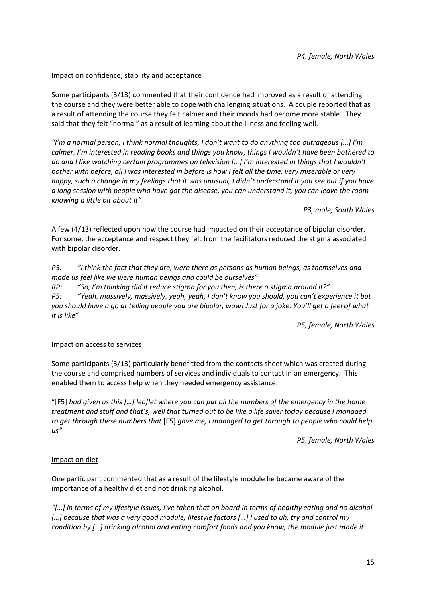## Impact on confidence, stability and acceptance

Some participants (3/13) commented that their confidence had improved as a result of attending the course and they were better able to cope with challenging situations. A couple reported that as a result of attending the course they felt calmer and their moods had become more stable. They said that they felt "normal" as a result of learning about the illness and feeling well.

*"I'm a normal person, I think normal thoughts, I don't want to do anything too outrageous […] I'm calmer, I'm interested in reading books and things you know, things I wouldn't have been bothered to do and I like watching certain programmes on television […] I'm interested in things that I wouldn't bother with before, all I was interested in before is how I felt all the time, very miserable or very happy, such a change in my feelings that it was unusual, I didn't understand it you see but if you have a long session with people who have got the disease, you can understand it, you can leave the room knowing a little bit about it"*

*P3, male, South Wales* 

A few (4/13) reflected upon how the course had impacted on their acceptance of bipolar disorder. For some, the acceptance and respect they felt from the facilitators reduced the stigma associated with bipolar disorder.

*P5: "I think the fact that they are, were there as persons as human beings, as themselves and made us feel like we were human beings and could be ourselves"*

*RP: "So, I'm thinking did it reduce stigma for you then, is there a stigma around it?" P5: "Yeah, massively, massively, yeah, yeah, I don't know you should, you can't experience it but you should have a go at telling people you are bipolar, wow! Just for a joke. You'll get a feel of what it is like"*

*P5, female, North Wales* 

# Impact on access to services

Some participants (3/13) particularly benefitted from the contacts sheet which was created during the course and comprised numbers of services and individuals to contact in an emergency. This enabled them to access help when they needed emergency assistance.

"[F5] *had given us this […] leaflet where you can put all the numbers of the emergency in the home treatment and stuff and that's, well that turned out to be like a life saver today because I managed to get through these numbers that* [F5] *gave me, I managed to get through to people who could help us"*

*P5, female, North Wales* 

# Impact on diet

One participant commented that as a result of the lifestyle module he became aware of the importance of a healthy diet and not drinking alcohol.

*"[…] in terms of my lifestyle issues, I've taken that on board in terms of healthy eating and no alcohol […] because that was a very good module, lifestyle factors […] I used to uh, try and control my condition by […] drinking alcohol and eating comfort foods and you know, the module just made it*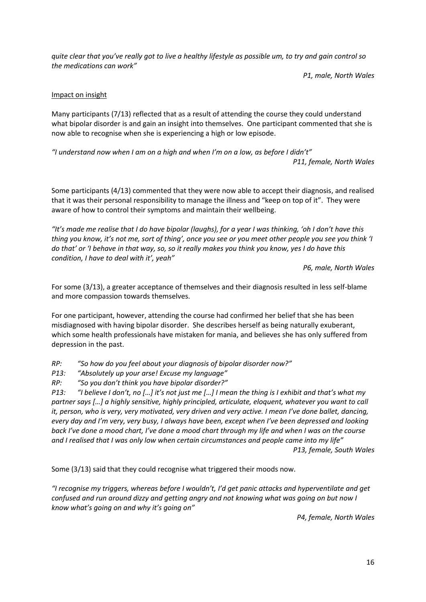*quite clear that you've really got to live a healthy lifestyle as possible um, to try and gain control so the medications can work"*

*P1, male, North Wales* 

# Impact on insight

Many participants (7/13) reflected that as a result of attending the course they could understand what bipolar disorder is and gain an insight into themselves. One participant commented that she is now able to recognise when she is experiencing a high or low episode.

*"I understand now when I am on a high and when I'm on a low, as before I didn't" P11, female, North Wales* 

Some participants (4/13) commented that they were now able to accept their diagnosis, and realised that it was their personal responsibility to manage the illness and "keep on top of it". They were aware of how to control their symptoms and maintain their wellbeing.

*"It's made me realise that I do have bipolar (laughs), for a year I was thinking, 'oh I don't have this thing you know, it's not me, sort of thing', once you see or you meet other people you see you think 'I do that' or 'I behave in that way, so, so it really makes you think you know, yes I do have this condition, I have to deal with it', yeah"*

*P6, male, North Wales* 

For some (3/13), a greater acceptance of themselves and their diagnosis resulted in less self-blame and more compassion towards themselves.

For one participant, however, attending the course had confirmed her belief that she has been misdiagnosed with having bipolar disorder. She describes herself as being naturally exuberant, which some health professionals have mistaken for mania, and believes she has only suffered from depression in the past.

*RP: "So how do you feel about your diagnosis of bipolar disorder now?"*

*P13: "Absolutely up your arse! Excuse my language"*

*RP: "So you don't think you have bipolar disorder?"*

*P13: "I believe I don't, no […] it's not just me […] I mean the thing is I exhibit and that's what my partner says […] a highly sensitive, highly principled, articulate, eloquent, whatever you want to call it, person, who is very, very motivated, very driven and very active. I mean I've done ballet, dancing, every day and I'm very, very busy, I always have been, except when I've been depressed and looking back I've done a mood chart, I've done a mood chart through my life and when I was on the course and I realised that I was only low when certain circumstances and people came into my life"*

*P13, female, South Wales*

Some (3/13) said that they could recognise what triggered their moods now.

*"I recognise my triggers, whereas before I wouldn't, I'd get panic attacks and hyperventilate and get confused and run around dizzy and getting angry and not knowing what was going on but now I know what's going on and why it's going on"*

*P4, female, North Wales*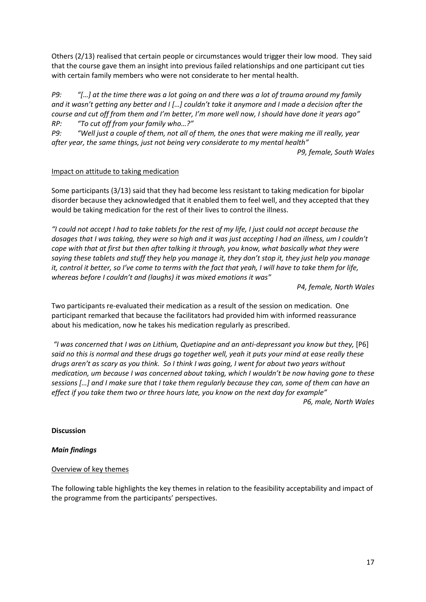Others (2/13) realised that certain people or circumstances would trigger their low mood. They said that the course gave them an insight into previous failed relationships and one participant cut ties with certain family members who were not considerate to her mental health.

*P9: "[…] at the time there was a lot going on and there was a lot of trauma around my family and it wasn't getting any better and I […] couldn't take it anymore and I made a decision after the course and cut off from them and I'm better, I'm more well now, I should have done it years ago" RP: "To cut off from your family who…?"*

*P9: "Well just a couple of them, not all of them, the ones that were making me ill really, year after year, the same things, just not being very considerate to my mental health"*

*P9, female, South Wales* 

## Impact on attitude to taking medication

Some participants (3/13) said that they had become less resistant to taking medication for bipolar disorder because they acknowledged that it enabled them to feel well, and they accepted that they would be taking medication for the rest of their lives to control the illness.

*"I could not accept I had to take tablets for the rest of my life, I just could not accept because the dosages that I was taking, they were so high and it was just accepting I had an illness, um I couldn't cope with that at first but then after talking it through, you know, what basically what they were saying these tablets and stuff they help you manage it, they don't stop it, they just help you manage it, control it better, so I've come to terms with the fact that yeah, I will have to take them for life, whereas before I couldn't and (laughs) it was mixed emotions it was"*

*P4, female, North Wales* 

Two participants re-evaluated their medication as a result of the session on medication. One participant remarked that because the facilitators had provided him with informed reassurance about his medication, now he takes his medication regularly as prescribed.

*"I was concerned that I was on Lithium, Quetiapine and an anti-depressant you know but they,* [P6] *said no this is normal and these drugs go together well, yeah it puts your mind at ease really these drugs aren't as scary as you think. So I think I was going, I went for about two years without medication, um because I was concerned about taking, which I wouldn't be now having gone to these sessions […] and I make sure that I take them regularly because they can, some of them can have an effect if you take them two or three hours late, you know on the next day for example"* 

*P6, male, North Wales* 

## **Discussion**

## *Main findings*

## Overview of key themes

The following table highlights the key themes in relation to the feasibility acceptability and impact of the programme from the participants' perspectives.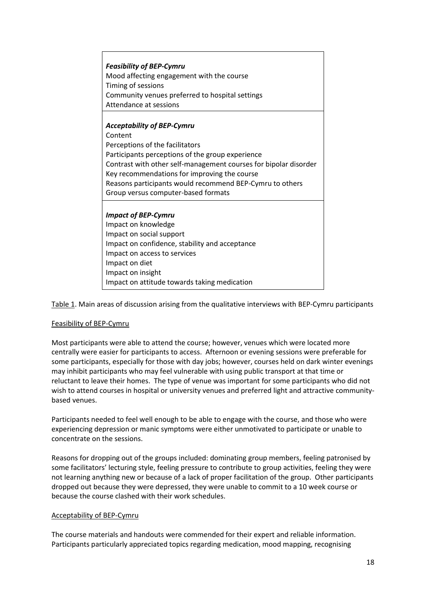| <b>Feasibility of BEP-Cymru</b><br>Mood affecting engagement with the course<br>Timing of sessions<br>Community venues preferred to hospital settings<br>Attendance at sessions                                                                                                                                                                            |
|------------------------------------------------------------------------------------------------------------------------------------------------------------------------------------------------------------------------------------------------------------------------------------------------------------------------------------------------------------|
| <b>Acceptability of BEP-Cymru</b><br>Content<br>Perceptions of the facilitators<br>Participants perceptions of the group experience<br>Contrast with other self-management courses for bipolar disorder<br>Key recommendations for improving the course<br>Reasons participants would recommend BEP-Cymru to others<br>Group versus computer-based formats |
| <b>Impact of BEP-Cymru</b><br>Impact on knowledge<br>Impact on social support<br>Impact on confidence, stability and acceptance<br>Impact on access to services<br>Impact on diet<br>Impact on insight<br>Impact on attitude towards taking medication                                                                                                     |

Table 1. Main areas of discussion arising from the qualitative interviews with BEP-Cymru participants

# Feasibility of BEP-Cymru

Most participants were able to attend the course; however, venues which were located more centrally were easier for participants to access. Afternoon or evening sessions were preferable for some participants, especially for those with day jobs; however, courses held on dark winter evenings may inhibit participants who may feel vulnerable with using public transport at that time or reluctant to leave their homes. The type of venue was important for some participants who did not wish to attend courses in hospital or university venues and preferred light and attractive communitybased venues.

Participants needed to feel well enough to be able to engage with the course, and those who were experiencing depression or manic symptoms were either unmotivated to participate or unable to concentrate on the sessions.

Reasons for dropping out of the groups included: dominating group members, feeling patronised by some facilitators' lecturing style, feeling pressure to contribute to group activities, feeling they were not learning anything new or because of a lack of proper facilitation of the group. Other participants dropped out because they were depressed, they were unable to commit to a 10 week course or because the course clashed with their work schedules.

## Acceptability of BEP-Cymru

The course materials and handouts were commended for their expert and reliable information. Participants particularly appreciated topics regarding medication, mood mapping, recognising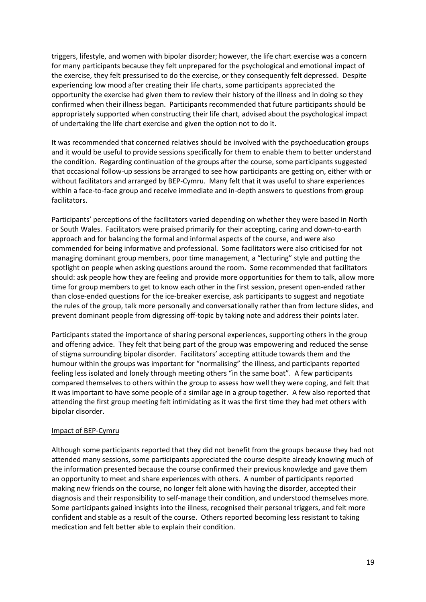triggers, lifestyle, and women with bipolar disorder; however, the life chart exercise was a concern for many participants because they felt unprepared for the psychological and emotional impact of the exercise, they felt pressurised to do the exercise, or they consequently felt depressed. Despite experiencing low mood after creating their life charts, some participants appreciated the opportunity the exercise had given them to review their history of the illness and in doing so they confirmed when their illness began. Participants recommended that future participants should be appropriately supported when constructing their life chart, advised about the psychological impact of undertaking the life chart exercise and given the option not to do it.

It was recommended that concerned relatives should be involved with the psychoeducation groups and it would be useful to provide sessions specifically for them to enable them to better understand the condition. Regarding continuation of the groups after the course, some participants suggested that occasional follow-up sessions be arranged to see how participants are getting on, either with or without facilitators and arranged by BEP-Cymru. Many felt that it was useful to share experiences within a face-to-face group and receive immediate and in-depth answers to questions from group facilitators.

Participants' perceptions of the facilitators varied depending on whether they were based in North or South Wales. Facilitators were praised primarily for their accepting, caring and down-to-earth approach and for balancing the formal and informal aspects of the course, and were also commended for being informative and professional. Some facilitators were also criticised for not managing dominant group members, poor time management, a "lecturing" style and putting the spotlight on people when asking questions around the room. Some recommended that facilitators should: ask people how they are feeling and provide more opportunities for them to talk, allow more time for group members to get to know each other in the first session, present open-ended rather than close-ended questions for the ice-breaker exercise, ask participants to suggest and negotiate the rules of the group, talk more personally and conversationally rather than from lecture slides, and prevent dominant people from digressing off-topic by taking note and address their points later.

Participants stated the importance of sharing personal experiences, supporting others in the group and offering advice. They felt that being part of the group was empowering and reduced the sense of stigma surrounding bipolar disorder. Facilitators' accepting attitude towards them and the humour within the groups was important for "normalising" the illness, and participants reported feeling less isolated and lonely through meeting others "in the same boat". A few participants compared themselves to others within the group to assess how well they were coping, and felt that it was important to have some people of a similar age in a group together. A few also reported that attending the first group meeting felt intimidating as it was the first time they had met others with bipolar disorder.

## Impact of BEP-Cymru

Although some participants reported that they did not benefit from the groups because they had not attended many sessions, some participants appreciated the course despite already knowing much of the information presented because the course confirmed their previous knowledge and gave them an opportunity to meet and share experiences with others. A number of participants reported making new friends on the course, no longer felt alone with having the disorder, accepted their diagnosis and their responsibility to self-manage their condition, and understood themselves more. Some participants gained insights into the illness, recognised their personal triggers, and felt more confident and stable as a result of the course. Others reported becoming less resistant to taking medication and felt better able to explain their condition.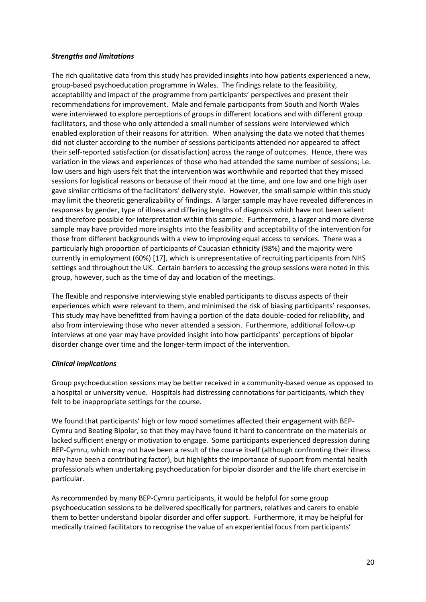## *Strengths and limitations*

The rich qualitative data from this study has provided insights into how patients experienced a new, group-based psychoeducation programme in Wales. The findings relate to the feasibility, acceptability and impact of the programme from participants' perspectives and present their recommendations for improvement. Male and female participants from South and North Wales were interviewed to explore perceptions of groups in different locations and with different group facilitators, and those who only attended a small number of sessions were interviewed which enabled exploration of their reasons for attrition. When analysing the data we noted that themes did not cluster according to the number of sessions participants attended nor appeared to affect their self-reported satisfaction (or dissatisfaction) across the range of outcomes. Hence, there was variation in the views and experiences of those who had attended the same number of sessions; i.e. low users and high users felt that the intervention was worthwhile and reported that they missed sessions for logistical reasons or because of their mood at the time, and one low and one high user gave similar criticisms of the facilitators' delivery style. However, the small sample within this study may limit the theoretic generalizability of findings. A larger sample may have revealed differences in responses by gender, type of illness and differing lengths of diagnosis which have not been salient and therefore possible for interpretation within this sample. Furthermore, a larger and more diverse sample may have provided more insights into the feasibility and acceptability of the intervention for those from different backgrounds with a view to improving equal access to services. There was a particularly high proportion of participants of Caucasian ethnicity (98%) and the majority were currently in employment (60%) [\[17\]](#page-23-11), which is unrepresentative of recruiting participants from NHS settings and throughout the UK. Certain barriers to accessing the group sessions were noted in this group, however, such as the time of day and location of the meetings.

The flexible and responsive interviewing style enabled participants to discuss aspects of their experiences which were relevant to them, and minimised the risk of biasing participants' responses. This study may have benefitted from having a portion of the data double-coded for reliability, and also from interviewing those who never attended a session. Furthermore, additional follow-up interviews at one year may have provided insight into how participants' perceptions of bipolar disorder change over time and the longer-term impact of the intervention.

# *Clinical implications*

Group psychoeducation sessions may be better received in a community-based venue as opposed to a hospital or university venue. Hospitals had distressing connotations for participants, which they felt to be inappropriate settings for the course.

We found that participants' high or low mood sometimes affected their engagement with BEP-Cymru and Beating Bipolar, so that they may have found it hard to concentrate on the materials or lacked sufficient energy or motivation to engage. Some participants experienced depression during BEP-Cymru, which may not have been a result of the course itself (although confronting their illness may have been a contributing factor), but highlights the importance of support from mental health professionals when undertaking psychoeducation for bipolar disorder and the life chart exercise in particular.

As recommended by many BEP-Cymru participants, it would be helpful for some group psychoeducation sessions to be delivered specifically for partners, relatives and carers to enable them to better understand bipolar disorder and offer support. Furthermore, it may be helpful for medically trained facilitators to recognise the value of an experiential focus from participants'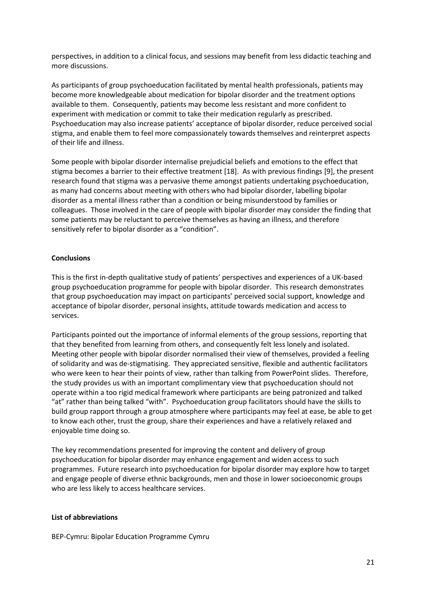perspectives, in addition to a clinical focus, and sessions may benefit from less didactic teaching and more discussions.

As participants of group psychoeducation facilitated by mental health professionals, patients may become more knowledgeable about medication for bipolar disorder and the treatment options available to them. Consequently, patients may become less resistant and more confident to experiment with medication or commit to take their medication regularly as prescribed. Psychoeducation may also increase patients' acceptance of bipolar disorder, reduce perceived social stigma, and enable them to feel more compassionately towards themselves and reinterpret aspects of their life and illness.

Some people with bipolar disorder internalise prejudicial beliefs and emotions to the effect that stigma becomes a barrier to their effective treatment [\[18\]](#page-23-12). As with previous findings [\[9\]](#page-23-13), the present research found that stigma was a pervasive theme amongst patients undertaking psychoeducation, as many had concerns about meeting with others who had bipolar disorder, labelling bipolar disorder as a mental illness rather than a condition or being misunderstood by families or colleagues. Those involved in the care of people with bipolar disorder may consider the finding that some patients may be reluctant to perceive themselves as having an illness, and therefore sensitively refer to bipolar disorder as a "condition".

## **Conclusions**

This is the first in-depth qualitative study of patients' perspectives and experiences of a UK-based group psychoeducation programme for people with bipolar disorder. This research demonstrates that group psychoeducation may impact on participants' perceived social support, knowledge and acceptance of bipolar disorder, personal insights, attitude towards medication and access to services.

Participants pointed out the importance of informal elements of the group sessions, reporting that that they benefited from learning from others, and consequently felt less lonely and isolated. Meeting other people with bipolar disorder normalised their view of themselves, provided a feeling of solidarity and was de-stigmatising. They appreciated sensitive, flexible and authentic facilitators who were keen to hear their points of view, rather than talking from PowerPoint slides. Therefore, the study provides us with an important complimentary view that psychoeducation should not operate within a too rigid medical framework where participants are being patronized and talked "at" rather than being talked "with". Psychoeducation group facilitators should have the skills to build group rapport through a group atmosphere where participants may feel at ease, be able to get to know each other, trust the group, share their experiences and have a relatively relaxed and enjoyable time doing so.

The key recommendations presented for improving the content and delivery of group psychoeducation for bipolar disorder may enhance engagement and widen access to such programmes. Future research into psychoeducation for bipolar disorder may explore how to target and engage people of diverse ethnic backgrounds, men and those in lower socioeconomic groups who are less likely to access healthcare services.

#### **List of abbreviations**

BEP-Cymru: Bipolar Education Programme Cymru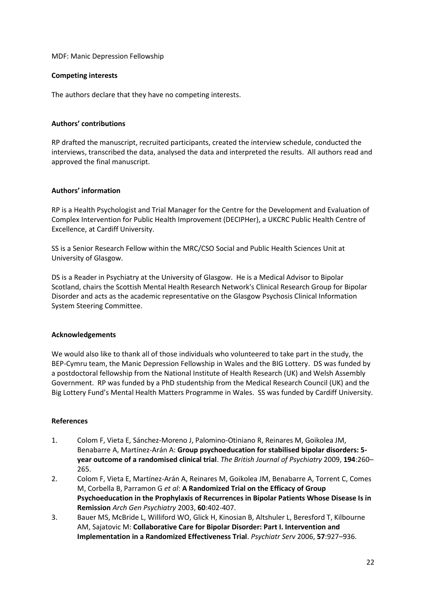MDF: Manic Depression Fellowship

## **Competing interests**

The authors declare that they have no competing interests.

## **Authors' contributions**

RP drafted the manuscript, recruited participants, created the interview schedule, conducted the interviews, transcribed the data, analysed the data and interpreted the results. All authors read and approved the final manuscript.

## **Authors' information**

RP is a Health Psychologist and Trial Manager for the Centre for the Development and Evaluation of Complex Intervention for Public Health Improvement (DECIPHer), a UKCRC Public Health Centre of Excellence, at Cardiff University.

SS is a Senior Research Fellow within the MRC/CSO Social and Public Health Sciences Unit at University of Glasgow.

DS is a Reader in Psychiatry at the University of Glasgow. He is a Medical Advisor to Bipolar Scotland, chairs the Scottish Mental Health Research Network's Clinical Research Group for Bipolar Disorder and acts as the academic representative on the Glasgow Psychosis Clinical Information System Steering Committee.

## **Acknowledgements**

We would also like to thank all of those individuals who volunteered to take part in the study, the BEP-Cymru team, the Manic Depression Fellowship in Wales and the BIG Lottery. DS was funded by a postdoctoral fellowship from the National Institute of Health Research (UK) and Welsh Assembly Government. RP was funded by a PhD studentship from the Medical Research Council (UK) and the Big Lottery Fund's Mental Health Matters Programme in Wales. SS was funded by Cardiff University.

## **References**

- <span id="page-22-0"></span>1. Colom F, Vieta E, Sánchez-Moreno J, Palomino-Otiniano R, Reinares M, Goikolea JM, Benabarre A, Martínez-Arán A: **Group psychoeducation for stabilised bipolar disorders: 5 year outcome of a randomised clinical trial**. *The British Journal of Psychiatry* 2009, **194**:260– 265.
- <span id="page-22-1"></span>2. Colom F, Vieta E, Martínez-Arán A, Reinares M, Goikolea JM, Benabarre A, Torrent C, Comes M, Corbella B, Parramon G *et al*: **A Randomized Trial on the Efficacy of Group Psychoeducation in the Prophylaxis of Recurrences in Bipolar Patients Whose Disease Is in Remission** *Arch Gen Psychiatry* 2003, **60**:402-407.
- <span id="page-22-2"></span>3. Bauer MS, McBride L, Williford WO, Glick H, Kinosian B, Altshuler L, Beresford T, Kilbourne AM, Sajatovic M: **Collaborative Care for Bipolar Disorder: Part I. Intervention and Implementation in a Randomized Effectiveness Trial**. *Psychiatr Serv* 2006, **57**:927–936.